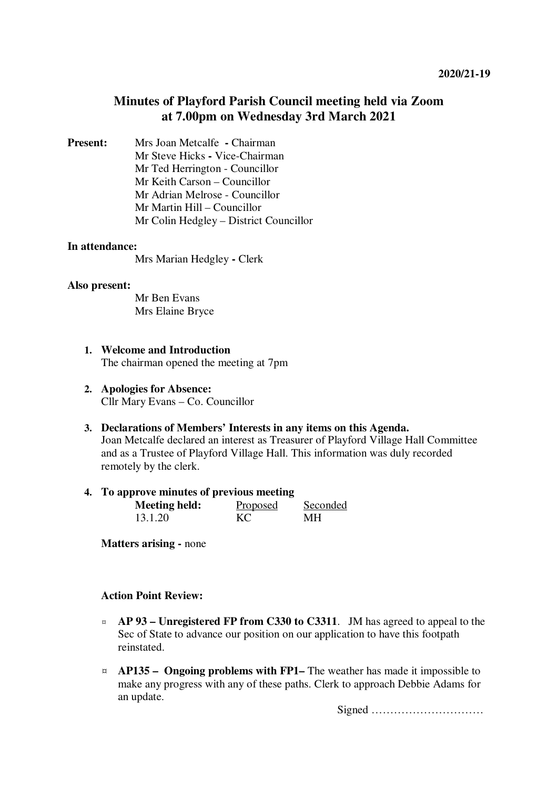# **Minutes of Playford Parish Council meeting held via Zoom at 7.00pm on Wednesday 3rd March 2021**

**Present:** Mrs Joan Metcalfe **- Chairman** Mr Steve Hicks **-** Vice-Chairman Mr Ted Herrington - Councillor Mr Keith Carson – Councillor Mr Adrian Melrose - Councillor Mr Martin Hill – Councillor Mr Colin Hedgley – District Councillor

#### **In attendance:**

Mrs Marian Hedgley **-** Clerk

#### **Also present:**

Mr Ben Evans Mrs Elaine Bryce

- **1. Welcome and Introduction**  The chairman opened the meeting at 7pm
- **2. Apologies for Absence:** Cllr Mary Evans – Co. Councillor
- **3. Declarations of Members' Interests in any items on this Agenda.**

Joan Metcalfe declared an interest as Treasurer of Playford Village Hall Committee and as a Trustee of Playford Village Hall. This information was duly recorded remotely by the clerk.

### **4. To approve minutes of previous meeting**

| <b>Meeting held:</b> | Proposed | Seconded |
|----------------------|----------|----------|
| 13.1.20              | KC       | MН       |

**Matters arising - none** 

#### **Action Point Review:**

- ¤ **AP 93 Unregistered FP from C330 to C3311**. JM has agreed to appeal to the Sec of State to advance our position on our application to have this footpath reinstated.
- ¤ **AP135 Ongoing problems with FP1–** The weather has made it impossible to make any progress with any of these paths. Clerk to approach Debbie Adams for an update.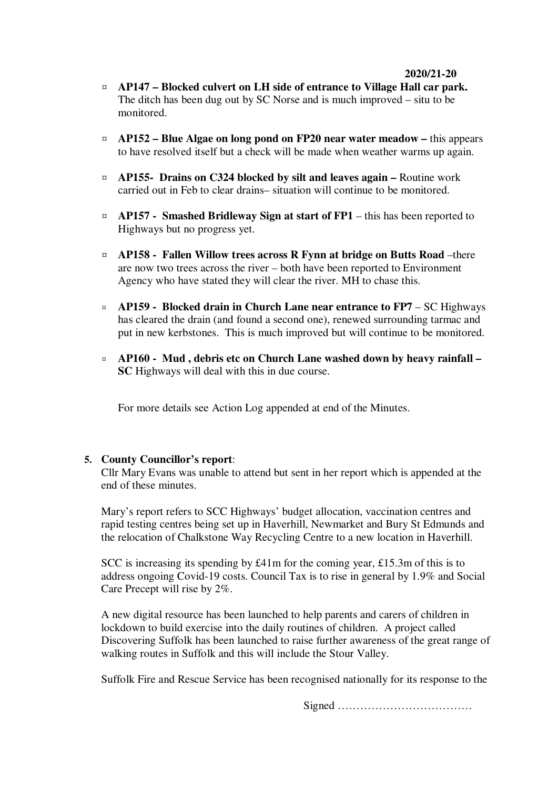#### **2020/21-20**

- ¤ **AP147 Blocked culvert on LH side of entrance to Village Hall car park.** The ditch has been dug out by SC Norse and is much improved – situ to be monitored.
- ¤ **AP152 Blue Algae on long pond on FP20 near water meadow** this appears to have resolved itself but a check will be made when weather warms up again.
- ¤ **AP155- Drains on C324 blocked by silt and leaves again** Routine work carried out in Feb to clear drains– situation will continue to be monitored.
- $\alpha$  **AP157** Smashed Bridleway Sign at start of FP1 this has been reported to Highways but no progress yet.
- ¤ **AP158 Fallen Willow trees across R Fynn at bridge on Butts Road** –there are now two trees across the river – both have been reported to Environment Agency who have stated they will clear the river. MH to chase this.
- ¤ **AP159 Blocked drain in Church Lane near entrance to FP7**  SC Highways has cleared the drain (and found a second one), renewed surrounding tarmac and put in new kerbstones. This is much improved but will continue to be monitored.
- ¤ **AP160 Mud , debris etc on Church Lane washed down by heavy rainfall SC** Highways will deal with this in due course.

For more details see Action Log appended at end of the Minutes.

#### **5. County Councillor's report**:

Cllr Mary Evans was unable to attend but sent in her report which is appended at the end of these minutes.

Mary's report refers to SCC Highways' budget allocation, vaccination centres and rapid testing centres being set up in Haverhill, Newmarket and Bury St Edmunds and the relocation of Chalkstone Way Recycling Centre to a new location in Haverhill.

SCC is increasing its spending by £41m for the coming year, £15.3m of this is to address ongoing Covid-19 costs. Council Tax is to rise in general by 1.9% and Social Care Precept will rise by 2%.

A new digital resource has been launched to help parents and carers of children in lockdown to build exercise into the daily routines of children. A project called Discovering Suffolk has been launched to raise further awareness of the great range of walking routes in Suffolk and this will include the Stour Valley.

Suffolk Fire and Rescue Service has been recognised nationally for its response to the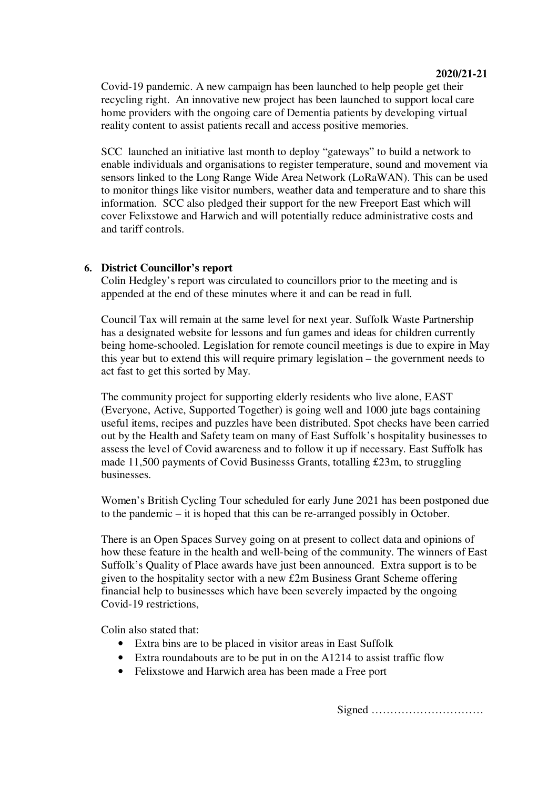Covid-19 pandemic. A new campaign has been launched to help people get their recycling right. An innovative new project has been launched to support local care home providers with the ongoing care of Dementia patients by developing virtual reality content to assist patients recall and access positive memories.

SCC launched an initiative last month to deploy "gateways" to build a network to enable individuals and organisations to register temperature, sound and movement via sensors linked to the Long Range Wide Area Network (LoRaWAN). This can be used to monitor things like visitor numbers, weather data and temperature and to share this information. SCC also pledged their support for the new Freeport East which will cover Felixstowe and Harwich and will potentially reduce administrative costs and and tariff controls.

## **6. District Councillor's report**

Colin Hedgley's report was circulated to councillors prior to the meeting and is appended at the end of these minutes where it and can be read in full.

Council Tax will remain at the same level for next year. Suffolk Waste Partnership has a designated website for lessons and fun games and ideas for children currently being home-schooled. Legislation for remote council meetings is due to expire in May this year but to extend this will require primary legislation – the government needs to act fast to get this sorted by May.

The community project for supporting elderly residents who live alone, EAST (Everyone, Active, Supported Together) is going well and 1000 jute bags containing useful items, recipes and puzzles have been distributed. Spot checks have been carried out by the Health and Safety team on many of East Suffolk's hospitality businesses to assess the level of Covid awareness and to follow it up if necessary. East Suffolk has made 11,500 payments of Covid Businesss Grants, totalling £23m, to struggling businesses.

Women's British Cycling Tour scheduled for early June 2021 has been postponed due to the pandemic – it is hoped that this can be re-arranged possibly in October.

There is an Open Spaces Survey going on at present to collect data and opinions of how these feature in the health and well-being of the community. The winners of East Suffolk's Quality of Place awards have just been announced. Extra support is to be given to the hospitality sector with a new £2m Business Grant Scheme offering financial help to businesses which have been severely impacted by the ongoing Covid-19 restrictions,

Colin also stated that:

- Extra bins are to be placed in visitor areas in East Suffolk
- Extra roundabouts are to be put in on the A1214 to assist traffic flow
- Felixstowe and Harwich area has been made a Free port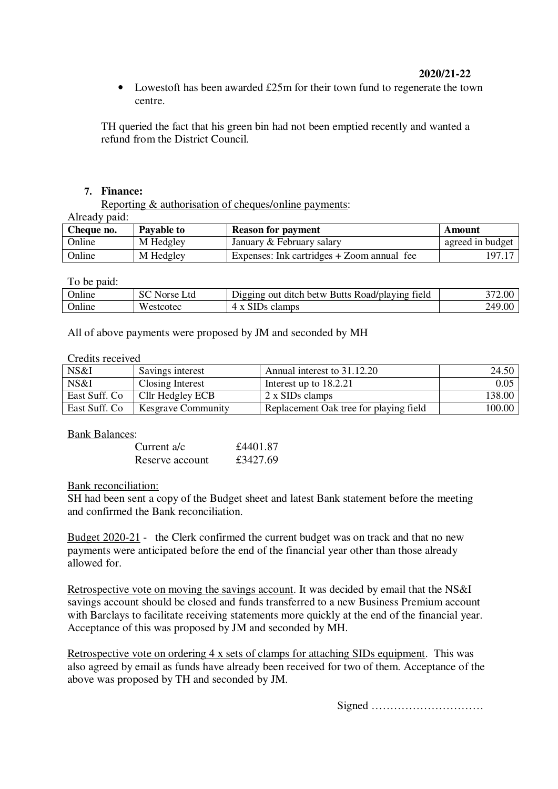## **2020/21-22**

• Lowestoft has been awarded £25m for their town fund to regenerate the town centre.

TH queried the fact that his green bin had not been emptied recently and wanted a refund from the District Council.

### **7. Finance:**

Reporting & authorisation of cheques/online payments:

Already paid:

| Cheque no. | Payable to | <b>Reason for payment</b>                  | Amount           |
|------------|------------|--------------------------------------------|------------------|
| Online     | M Hedgley  | January & February salary                  | agreed in budget |
| Online     | M Hedgley  | Expenses: Ink cartridges + Zoom annual fee | 197.17           |

To be paid:

| <b>Online</b> | Ltd<br>Norse | $\mathbf{\mathbf{r}}$<br>Digging out ditch betw Butts Road/playing<br>tield |             |
|---------------|--------------|-----------------------------------------------------------------------------|-------------|
| Online        | Westcotec    | SID <sub>s</sub> clamps<br>$\lambda$                                        | 9.00<br>249 |

All of above payments were proposed by JM and seconded by MH

#### Credits received

| NS&I           | Savings interest          | Annual interest to 31.12.20            | 24.50  |
|----------------|---------------------------|----------------------------------------|--------|
| NS&I           | Closing Interest          | Interest up to $18.2.21$               | 0.05   |
| East Suff. Co. | Cllr Hedgley ECB          | 2 x SIDs clamps                        | 138.00 |
| East Suff. Co. | <b>Kesgrave Community</b> | Replacement Oak tree for playing field | 100.00 |

Bank Balances:

| Current $a/c$   | £4401.87 |
|-----------------|----------|
| Reserve account | £3427.69 |

### Bank reconciliation:

SH had been sent a copy of the Budget sheet and latest Bank statement before the meeting and confirmed the Bank reconciliation.

Budget 2020-21 - the Clerk confirmed the current budget was on track and that no new payments were anticipated before the end of the financial year other than those already allowed for.

Retrospective vote on moving the savings account. It was decided by email that the NS&I savings account should be closed and funds transferred to a new Business Premium account with Barclays to facilitate receiving statements more quickly at the end of the financial year. Acceptance of this was proposed by JM and seconded by MH.

Retrospective vote on ordering 4 x sets of clamps for attaching SIDs equipment. This was also agreed by email as funds have already been received for two of them. Acceptance of the above was proposed by TH and seconded by JM.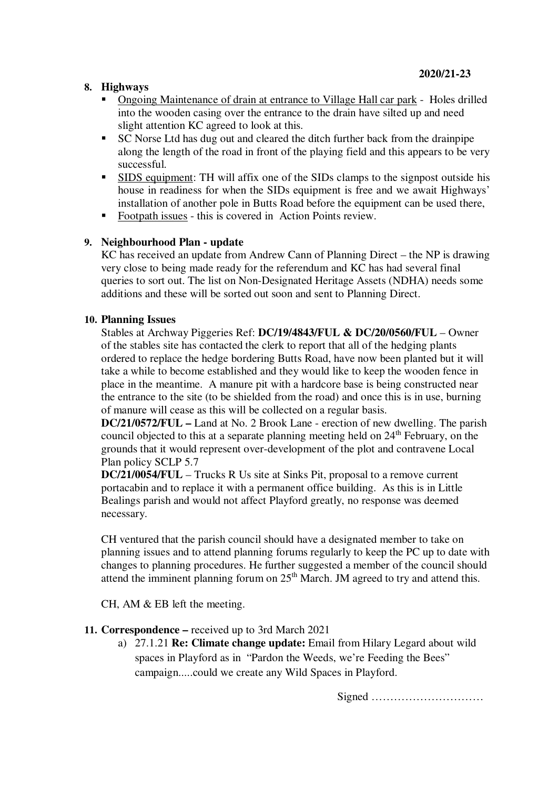## **8. Highways**

- Ongoing Maintenance of drain at entrance to Village Hall car park Holes drilled into the wooden casing over the entrance to the drain have silted up and need slight attention KC agreed to look at this.
- SC Norse Ltd has dug out and cleared the ditch further back from the drainpipe along the length of the road in front of the playing field and this appears to be very successful.
- SIDS equipment: TH will affix one of the SIDs clamps to the signpost outside his house in readiness for when the SIDs equipment is free and we await Highways' installation of another pole in Butts Road before the equipment can be used there,
- Footpath issues this is covered in Action Points review.

## **9. Neighbourhood Plan - update**

KC has received an update from Andrew Cann of Planning Direct – the NP is drawing very close to being made ready for the referendum and KC has had several final queries to sort out. The list on Non-Designated Heritage Assets (NDHA) needs some additions and these will be sorted out soon and sent to Planning Direct.

## **10. Planning Issues**

Stables at Archway Piggeries Ref: **DC/19/4843/FUL & DC/20/0560/FUL** – Owner of the stables site has contacted the clerk to report that all of the hedging plants ordered to replace the hedge bordering Butts Road, have now been planted but it will take a while to become established and they would like to keep the wooden fence in place in the meantime. A manure pit with a hardcore base is being constructed near the entrance to the site (to be shielded from the road) and once this is in use, burning of manure will cease as this will be collected on a regular basis.

**DC/21/0572/FUL –** Land at No. 2 Brook Lane - erection of new dwelling. The parish council objected to this at a separate planning meeting held on  $24<sup>th</sup>$  February, on the grounds that it would represent over-development of the plot and contravene Local Plan policy SCLP 5.7

**DC/21/0054/FUL** – Trucks R Us site at Sinks Pit, proposal to a remove current portacabin and to replace it with a permanent office building. As this is in Little Bealings parish and would not affect Playford greatly, no response was deemed necessary.

CH ventured that the parish council should have a designated member to take on planning issues and to attend planning forums regularly to keep the PC up to date with changes to planning procedures. He further suggested a member of the council should attend the imminent planning forum on  $25<sup>th</sup>$  March. JM agreed to try and attend this.

CH, AM & EB left the meeting.

## **11. Correspondence –** received up to 3rd March 2021

a) 27.1.21 **Re: Climate change update:** Email from Hilary Legard about wild spaces in Playford as in "Pardon the Weeds, we're Feeding the Bees" campaign.....could we create any Wild Spaces in Playford.